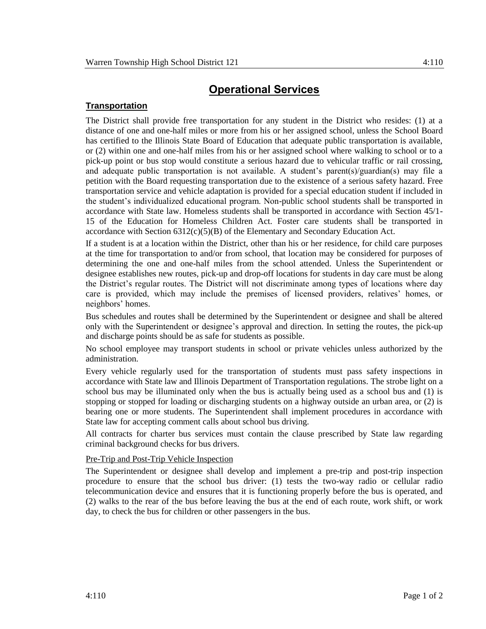## **Operational Services**

## **Transportation**

The District shall provide free transportation for any student in the District who resides: (1) at a distance of one and one-half miles or more from his or her assigned school, unless the School Board has certified to the Illinois State Board of Education that adequate public transportation is available, or (2) within one and one-half miles from his or her assigned school where walking to school or to a pick-up point or bus stop would constitute a serious hazard due to vehicular traffic or rail crossing, and adequate public transportation is not available. A student's parent(s)/guardian(s) may file a petition with the Board requesting transportation due to the existence of a serious safety hazard. Free transportation service and vehicle adaptation is provided for a special education student if included in the student's individualized educational program. Non-public school students shall be transported in accordance with State law. Homeless students shall be transported in accordance with Section 45/1- 15 of the Education for Homeless Children Act. Foster care students shall be transported in accordance with Section 6312(c)(5)(B) of the Elementary and Secondary Education Act.

If a student is at a location within the District, other than his or her residence, for child care purposes at the time for transportation to and/or from school, that location may be considered for purposes of determining the one and one-half miles from the school attended. Unless the Superintendent or designee establishes new routes, pick-up and drop-off locations for students in day care must be along the District's regular routes. The District will not discriminate among types of locations where day care is provided, which may include the premises of licensed providers, relatives' homes, or neighbors' homes.

Bus schedules and routes shall be determined by the Superintendent or designee and shall be altered only with the Superintendent or designee's approval and direction. In setting the routes, the pick-up and discharge points should be as safe for students as possible.

No school employee may transport students in school or private vehicles unless authorized by the administration.

Every vehicle regularly used for the transportation of students must pass safety inspections in accordance with State law and Illinois Department of Transportation regulations. The strobe light on a school bus may be illuminated only when the bus is actually being used as a school bus and (1) is stopping or stopped for loading or discharging students on a highway outside an urban area, or (2) is bearing one or more students. The Superintendent shall implement procedures in accordance with State law for accepting comment calls about school bus driving.

All contracts for charter bus services must contain the clause prescribed by State law regarding criminal background checks for bus drivers.

## Pre-Trip and Post-Trip Vehicle Inspection

The Superintendent or designee shall develop and implement a pre-trip and post-trip inspection procedure to ensure that the school bus driver: (1) tests the two-way radio or cellular radio telecommunication device and ensures that it is functioning properly before the bus is operated, and (2) walks to the rear of the bus before leaving the bus at the end of each route, work shift, or work day, to check the bus for children or other passengers in the bus.